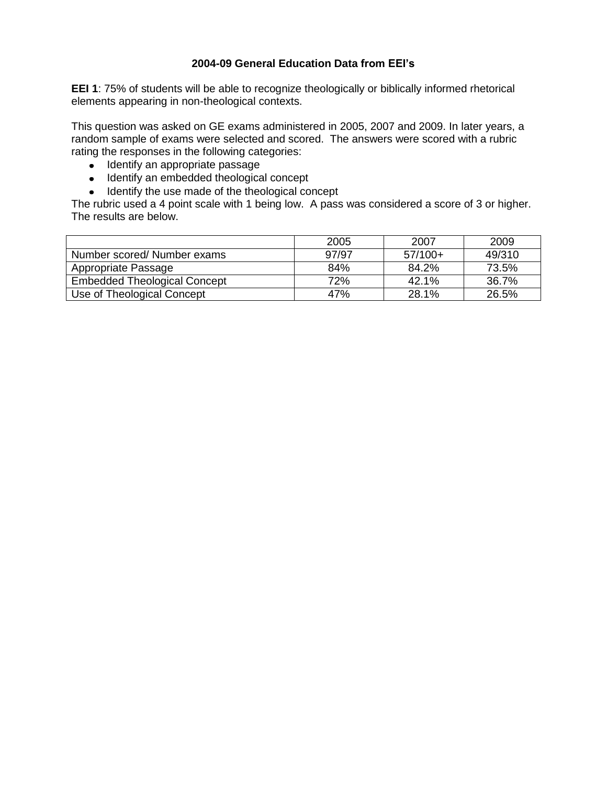## **2004-09 General Education Data from EEI's**

**EEI 1**: 75% of students will be able to recognize theologically or biblically informed rhetorical elements appearing in non-theological contexts.

This question was asked on GE exams administered in 2005, 2007 and 2009. In later years, a random sample of exams were selected and scored. The answers were scored with a rubric rating the responses in the following categories:

- Identify an appropriate passage
- Identify an embedded theological concept
- Identify the use made of the theological concept

|                                     | 2005  | 2007      | 2009   |
|-------------------------------------|-------|-----------|--------|
| Number scored/ Number exams         | 97/97 | $57/100+$ | 49/310 |
| Appropriate Passage                 | 84%   | 84.2%     | 73.5%  |
| <b>Embedded Theological Concept</b> | 72%   | 42.1%     | 36.7%  |
| Use of Theological Concept          | 47%   | 28.1%     | 26.5%  |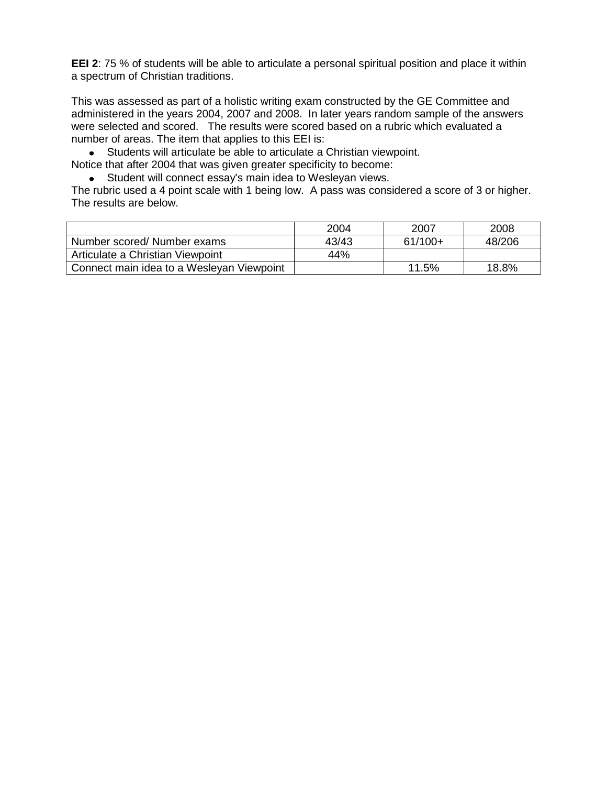**EEI 2**: 75 % of students will be able to articulate a personal spiritual position and place it within a spectrum of Christian traditions.

This was assessed as part of a holistic writing exam constructed by the GE Committee and administered in the years 2004, 2007 and 2008. In later years random sample of the answers were selected and scored. The results were scored based on a rubric which evaluated a number of areas. The item that applies to this EEI is:

Students will articulate be able to articulate a Christian viewpoint.

Notice that after 2004 that was given greater specificity to become:

Student will connect essay's main idea to Wesleyan views.

|                                           | 2004  | 2007      | 2008   |
|-------------------------------------------|-------|-----------|--------|
| Number scored/ Number exams               | 43/43 | $61/100+$ | 48/206 |
| Articulate a Christian Viewpoint          | 44%   |           |        |
| Connect main idea to a Wesleyan Viewpoint |       | 11.5%     | 18.8%  |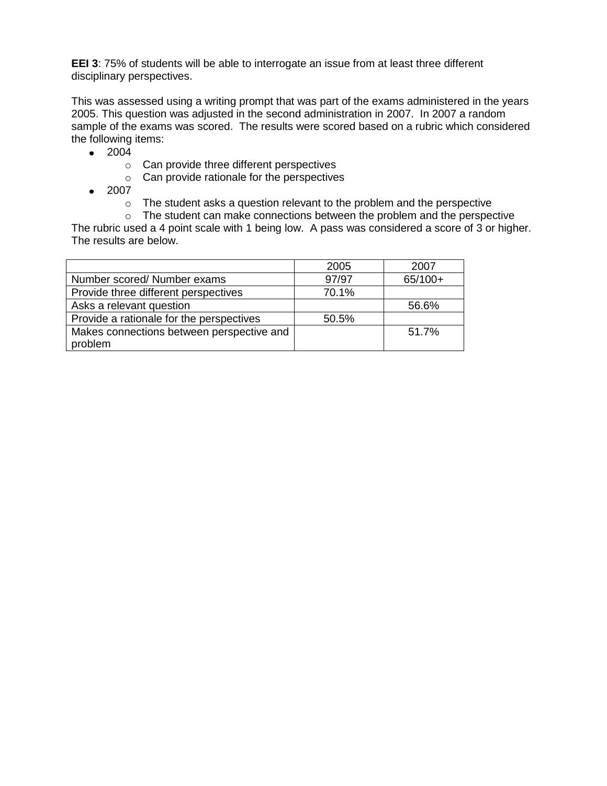**EEI 3**: 75% of students will be able to interrogate an issue from at least three different disciplinary perspectives.

This was assessed using a writing prompt that was part of the exams administered in the years 2005. This question was adjusted in the second administration in 2007. In 2007 a random sample of the exams was scored. The results were scored based on a rubric which considered the following items:

- $2004$ 
	- o Can provide three different perspectives
	- o Can provide rationale for the perspectives
- 2007
	- o The student asks a question relevant to the problem and the perspective
	- o The student can make connections between the problem and the perspective

|                                                      | 2005  | 2007      |
|------------------------------------------------------|-------|-----------|
| Number scored/ Number exams                          | 97/97 | $65/100+$ |
| Provide three different perspectives                 | 70.1% |           |
| Asks a relevant question                             |       | 56.6%     |
| Provide a rationale for the perspectives             | 50.5% |           |
| Makes connections between perspective and<br>problem |       | 51.7%     |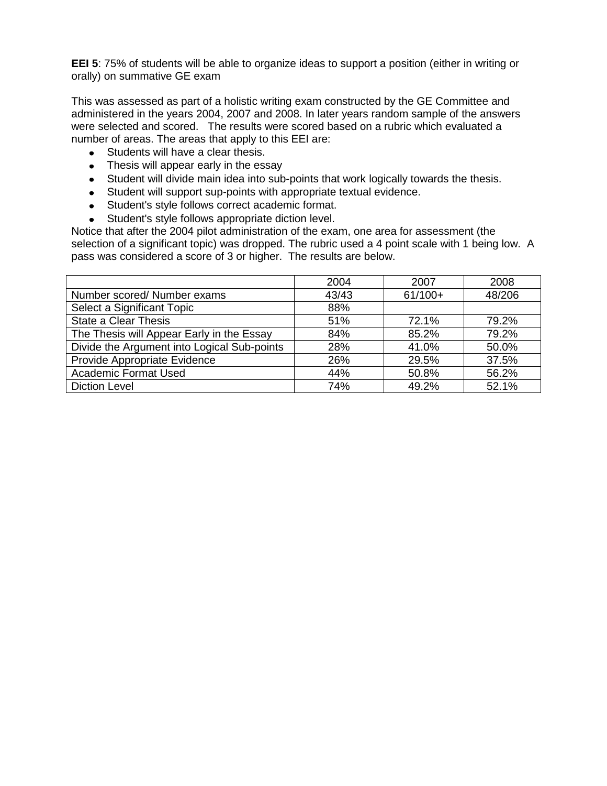**EEI 5**: 75% of students will be able to organize ideas to support a position (either in writing or orally) on summative GE exam

This was assessed as part of a holistic writing exam constructed by the GE Committee and administered in the years 2004, 2007 and 2008. In later years random sample of the answers were selected and scored. The results were scored based on a rubric which evaluated a number of areas. The areas that apply to this EEI are:

- Students will have a clear thesis.
- Thesis will appear early in the essay
- Student will divide main idea into sub-points that work logically towards the thesis.
- Student will support sup-points with appropriate textual evidence.
- Student's style follows correct academic format.
- Student's style follows appropriate diction level.

Notice that after the 2004 pilot administration of the exam, one area for assessment (the selection of a significant topic) was dropped. The rubric used a 4 point scale with 1 being low. A pass was considered a score of 3 or higher. The results are below.

|                                             | 2004  | 2007      | 2008   |
|---------------------------------------------|-------|-----------|--------|
| Number scored/ Number exams                 | 43/43 | $61/100+$ | 48/206 |
| Select a Significant Topic                  | 88%   |           |        |
| <b>State a Clear Thesis</b>                 | 51%   | 72.1%     | 79.2%  |
| The Thesis will Appear Early in the Essay   | 84%   | 85.2%     | 79.2%  |
| Divide the Argument into Logical Sub-points | 28%   | 41.0%     | 50.0%  |
| Provide Appropriate Evidence                | 26%   | 29.5%     | 37.5%  |
| <b>Academic Format Used</b>                 | 44%   | 50.8%     | 56.2%  |
| <b>Diction Level</b>                        | 74%   | 49.2%     | 52.1%  |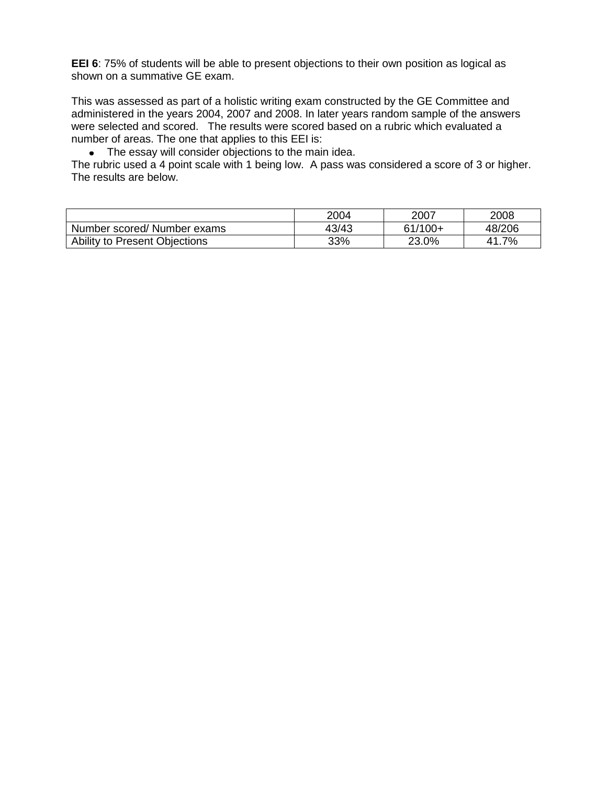**EEI 6**: 75% of students will be able to present objections to their own position as logical as shown on a summative GE exam.

This was assessed as part of a holistic writing exam constructed by the GE Committee and administered in the years 2004, 2007 and 2008. In later years random sample of the answers were selected and scored. The results were scored based on a rubric which evaluated a number of areas. The one that applies to this EEI is:

• The essay will consider objections to the main idea.

|                               | 2004  | 2007      | 2008     |
|-------------------------------|-------|-----------|----------|
| Number scored/ Number exams   | 43/43 | $61/100+$ | 48/206   |
| Ability to Present Objections | 33%   | 23.0%     | 7%<br>41 |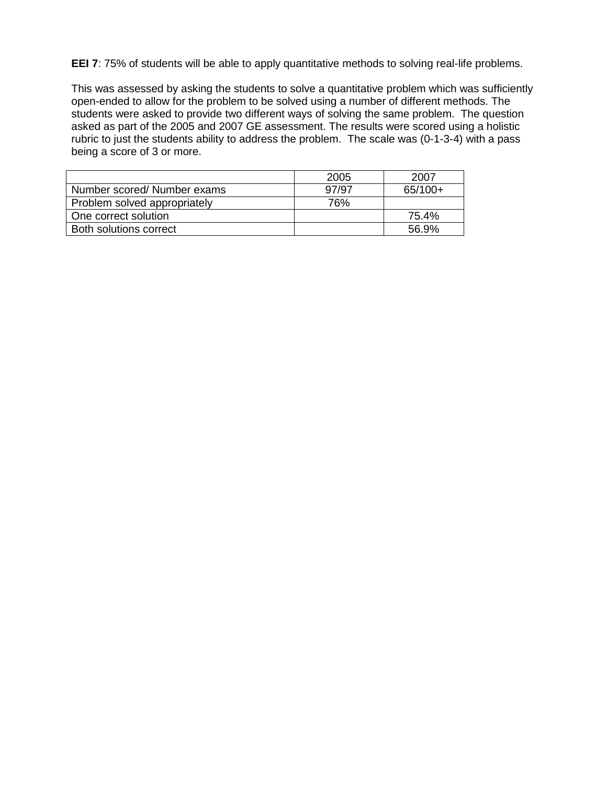**EEI 7**: 75% of students will be able to apply quantitative methods to solving real-life problems.

This was assessed by asking the students to solve a quantitative problem which was sufficiently open-ended to allow for the problem to be solved using a number of different methods. The students were asked to provide two different ways of solving the same problem. The question asked as part of the 2005 and 2007 GE assessment. The results were scored using a holistic rubric to just the students ability to address the problem. The scale was (0-1-3-4) with a pass being a score of 3 or more.

|                              | 2005  | 2007      |
|------------------------------|-------|-----------|
| Number scored/ Number exams  | 97/97 | $65/100+$ |
| Problem solved appropriately | 76%   |           |
| One correct solution         |       | 75.4%     |
| Both solutions correct       |       | 56.9%     |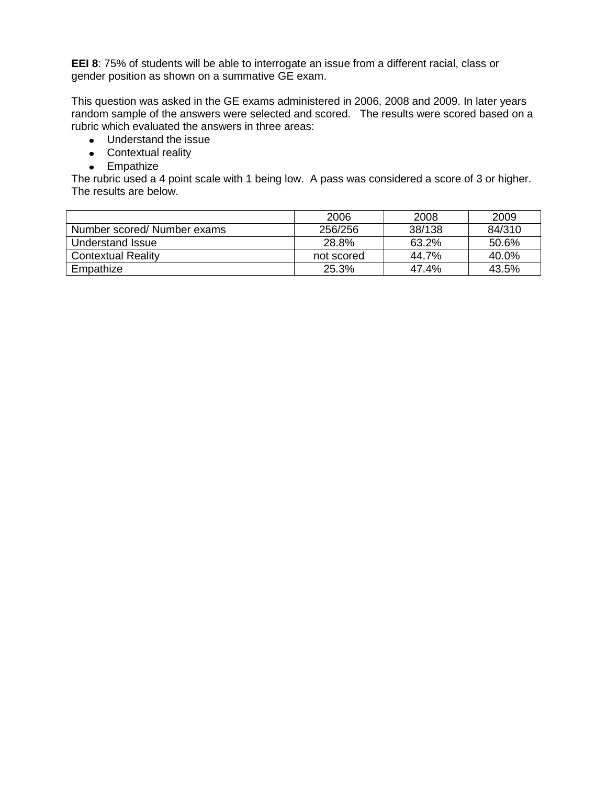**EEI 8**: 75% of students will be able to interrogate an issue from a different racial, class or gender position as shown on a summative GE exam.

This question was asked in the GE exams administered in 2006, 2008 and 2009. In later years random sample of the answers were selected and scored. The results were scored based on a rubric which evaluated the answers in three areas:

- Understand the issue
- Contextual reality
- Empathize

|                            | 2006       | 2008   | 2009   |
|----------------------------|------------|--------|--------|
| Number scored/Number exams | 256/256    | 38/138 | 84/310 |
| Understand Issue           | 28.8%      | 63.2%  | 50.6%  |
| <b>Contextual Reality</b>  | not scored | 44.7%  | 40.0%  |
| Empathize                  | 25.3%      | 47.4%  | 43.5%  |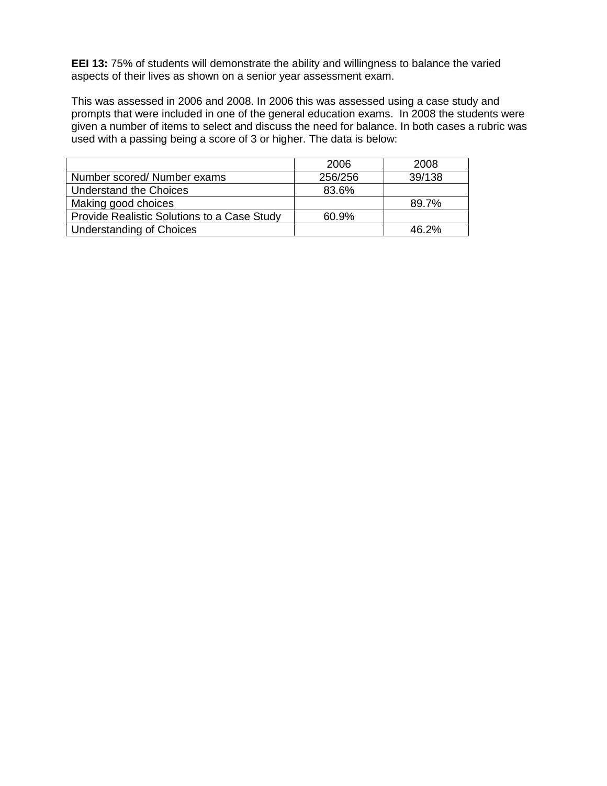**EEI 13: 75% of students will demonstrate the ability and willingness to balance the varied** aspects of their lives as shown on a senior year assessment exam.

This was assessed in 2006 and 2008. In 2006 this was assessed using a case study and prompts that were included in one of the general education exams. In 2008 the students were given a number of items to select and discuss the need for balance. In both cases a rubric was used with a passing being a score of 3 or higher. The data is below:

|                                             | 2006    | 2008   |
|---------------------------------------------|---------|--------|
| Number scored/ Number exams                 | 256/256 | 39/138 |
| <b>Understand the Choices</b>               | 83.6%   |        |
| Making good choices                         |         | 89.7%  |
| Provide Realistic Solutions to a Case Study | 60.9%   |        |
| <b>Understanding of Choices</b>             |         | 46.2%  |